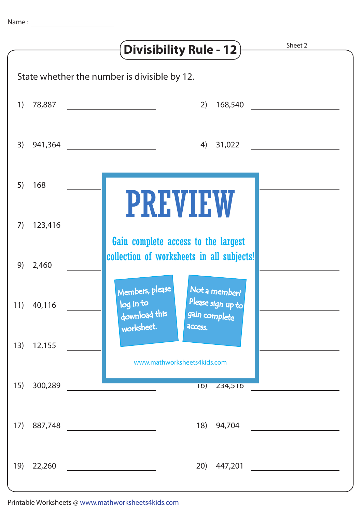|                                              |            | Sheet 2<br><b>Divisibility Rule - 12)</b>                                                            |
|----------------------------------------------|------------|------------------------------------------------------------------------------------------------------|
| State whether the number is divisible by 12. |            |                                                                                                      |
| 1)                                           |            | 78,887 ____________________<br>168,540<br>2)                                                         |
| 3)                                           |            | 4) 31,022                                                                                            |
| 5)                                           | 168        |                                                                                                      |
| 7)                                           | 123,416    | <b>PREVIEW</b><br>Gain complete access to the largest                                                |
| 9)                                           | 2,460      | collection of worksheets in all subjects!                                                            |
|                                              | 11) 40,116 | Members, please<br>Not a member?<br>Please sign up to<br>log in to<br>download this<br>gain complete |
| 13)                                          | 12,155     | worksheet.<br>access.<br>www.mathworksheets4kids.com                                                 |
| 15)                                          | 300,289    | $\overline{16)}$<br>234,510                                                                          |
| 17)                                          | 887,748    | 18)<br>94,704                                                                                        |
| 19)                                          | 22,260     | 20)<br>447,201                                                                                       |